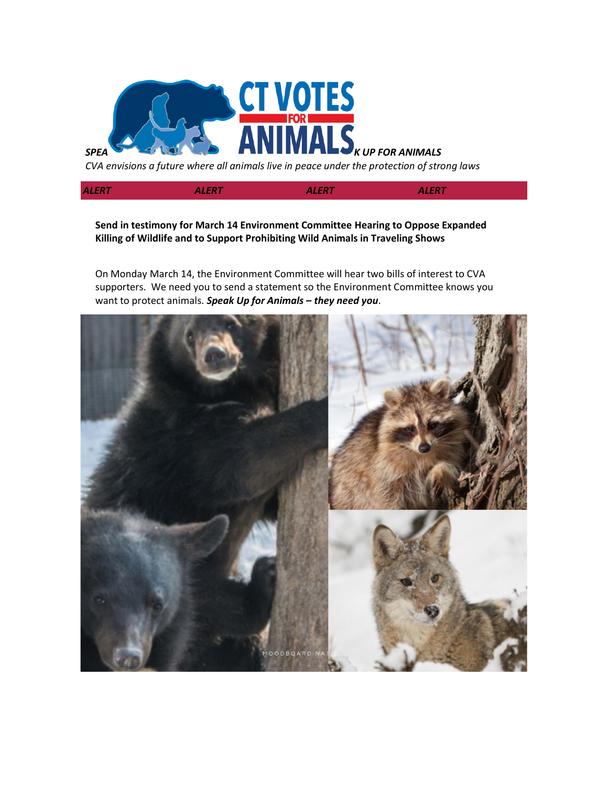

*CVA envisions a future where all animals live in peace under the protection of strong laws*

*ALERT ALERT ALERT ALERT*

**Send in testimony for March 14 Environment Committee Hearing to Oppose Expanded Killing of Wildlife and to Support Prohibiting Wild Animals in Traveling Shows**

On Monday March 14, the Environment Committee will hear two bills of interest to CVA supporters. We need you to send a statement so the Environment Committee knows you want to protect animals. *Speak Up for Animals – they need you*.

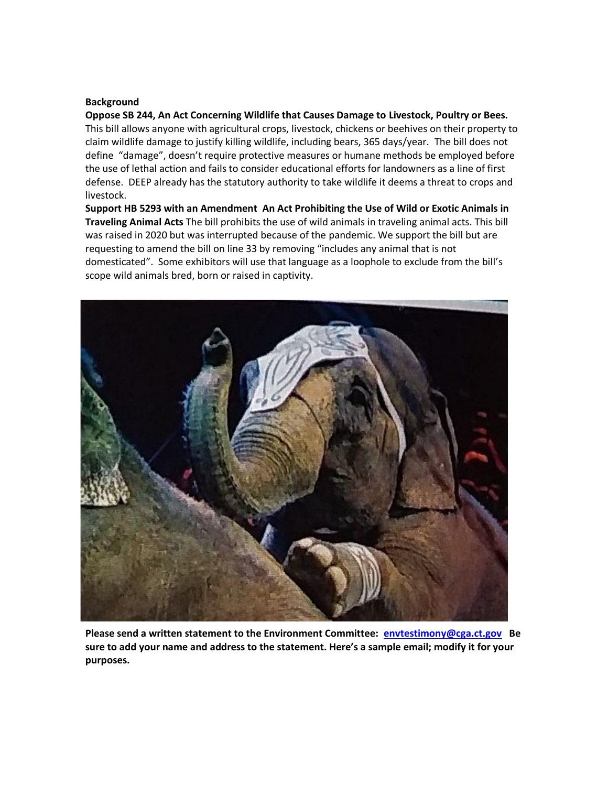## **Background**

**Oppose SB 244, An Act Concerning Wildlife that Causes Damage to Livestock, Poultry or Bees.**  This bill allows anyone with agricultural crops, livestock, chickens or beehives on their property to claim wildlife damage to justify killing wildlife, including bears, 365 days/year. The bill does not define "damage", doesn't require protective measures or humane methods be employed before the use of lethal action and fails to consider educational efforts for landowners as a line of first defense. DEEP already has the statutory authority to take wildlife it deems a threat to crops and livestock.

**Support HB 5293 with an Amendment An Act Prohibiting the Use of Wild or Exotic Animals in Traveling Animal Acts** The bill prohibits the use of wild animals in traveling animal acts. This bill was raised in 2020 but was interrupted because of the pandemic. We support the bill but are requesting to amend the bill on line 33 by removing "includes any animal that is not domesticated". Some exhibitors will use that language as a loophole to exclude from the bill's scope wild animals bred, born or raised in captivity.



**Please send a written statement to the Environment Committee: [envtestimony@cga.ct.gov](mailto:envtestimony@cga.ct.gov) Be sure to add your name and address to the statement. Here's a sample email; modify it for your purposes.**